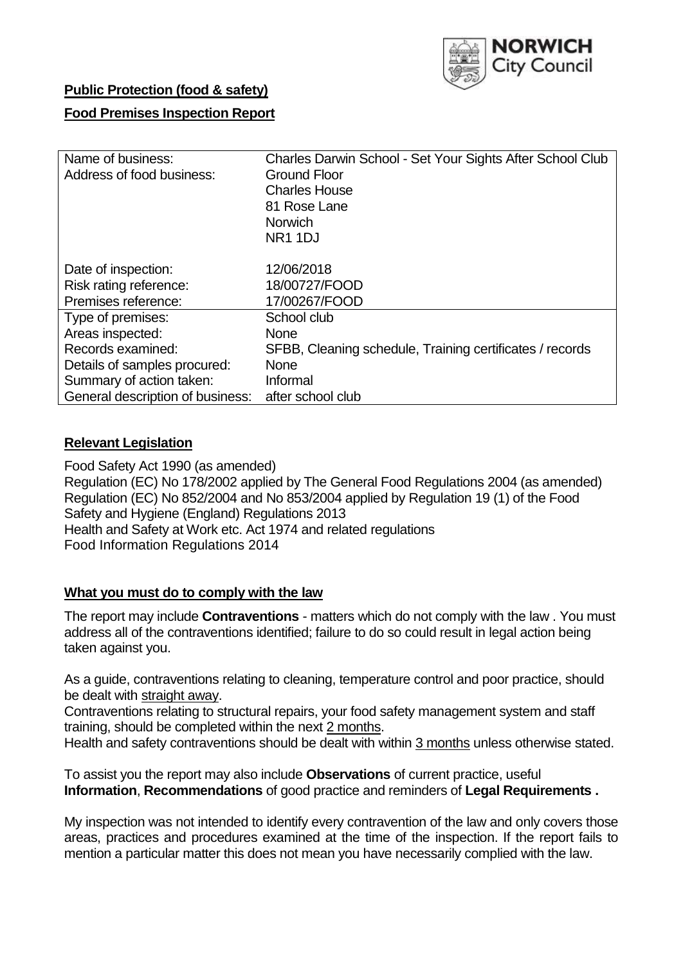

## **Public Protection (food & safety)**

## **Food Premises Inspection Report**

| Name of business:                | Charles Darwin School - Set Your Sights After School Club |
|----------------------------------|-----------------------------------------------------------|
| Address of food business:        | <b>Ground Floor</b>                                       |
|                                  | <b>Charles House</b>                                      |
|                                  | 81 Rose Lane                                              |
|                                  | <b>Norwich</b>                                            |
|                                  | NR <sub>1</sub> 1DJ                                       |
|                                  |                                                           |
| Date of inspection:              | 12/06/2018                                                |
| Risk rating reference:           | 18/00727/FOOD                                             |
| Premises reference:              | 17/00267/FOOD                                             |
| Type of premises:                | School club                                               |
| Areas inspected:                 | <b>None</b>                                               |
| Records examined:                | SFBB, Cleaning schedule, Training certificates / records  |
| Details of samples procured:     | <b>None</b>                                               |
| Summary of action taken:         | Informal                                                  |
| General description of business: | after school club                                         |

### **Relevant Legislation**

Food Safety Act 1990 (as amended) Regulation (EC) No 178/2002 applied by The General Food Regulations 2004 (as amended) Regulation (EC) No 852/2004 and No 853/2004 applied by Regulation 19 (1) of the Food Safety and Hygiene (England) Regulations 2013 Health and Safety at Work etc. Act 1974 and related regulations Food Information Regulations 2014

## **What you must do to comply with the law**

The report may include **Contraventions** - matters which do not comply with the law . You must address all of the contraventions identified; failure to do so could result in legal action being taken against you.

As a guide, contraventions relating to cleaning, temperature control and poor practice, should be dealt with straight away.

Contraventions relating to structural repairs, your food safety management system and staff training, should be completed within the next 2 months.

Health and safety contraventions should be dealt with within 3 months unless otherwise stated.

To assist you the report may also include **Observations** of current practice, useful **Information**, **Recommendations** of good practice and reminders of **Legal Requirements .**

My inspection was not intended to identify every contravention of the law and only covers those areas, practices and procedures examined at the time of the inspection. If the report fails to mention a particular matter this does not mean you have necessarily complied with the law.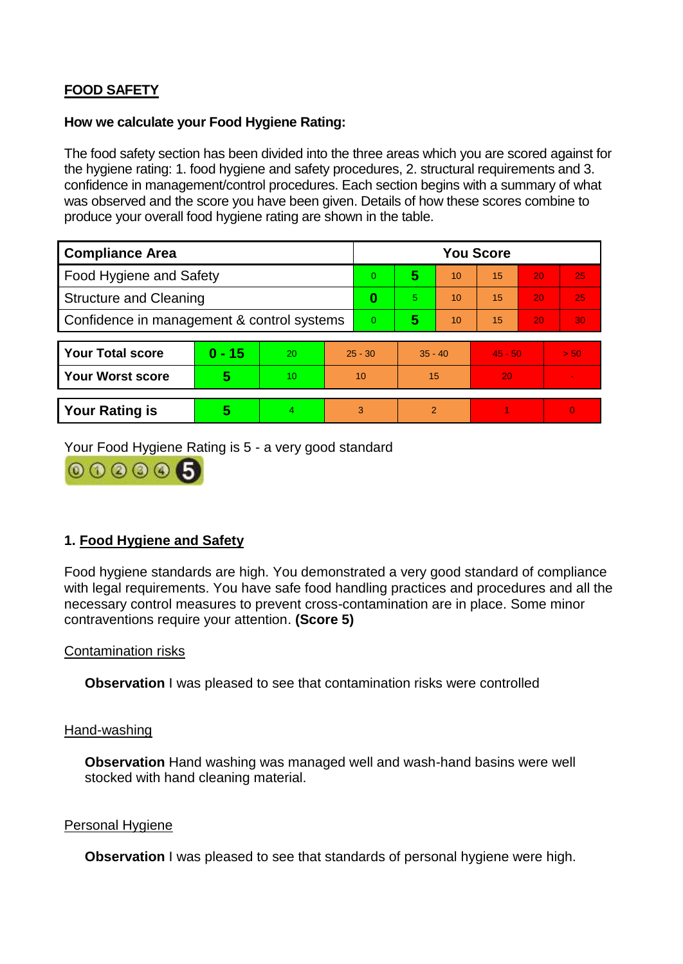# **FOOD SAFETY**

### **How we calculate your Food Hygiene Rating:**

The food safety section has been divided into the three areas which you are scored against for the hygiene rating: 1. food hygiene and safety procedures, 2. structural requirements and 3. confidence in management/control procedures. Each section begins with a summary of what was observed and the score you have been given. Details of how these scores combine to produce your overall food hygiene rating are shown in the table.

| <b>Compliance Area</b>                     |          |    |           | <b>You Score</b> |                |    |           |    |                |  |  |
|--------------------------------------------|----------|----|-----------|------------------|----------------|----|-----------|----|----------------|--|--|
| Food Hygiene and Safety                    |          |    |           | $\Omega$         | 5              | 10 | 15        | 20 | 25             |  |  |
| <b>Structure and Cleaning</b>              |          |    | 0         | 5.               | 10             | 15 | 20        | 25 |                |  |  |
| Confidence in management & control systems |          |    | $\Omega$  | 5                | 10             | 15 | 20        | 30 |                |  |  |
|                                            |          |    |           |                  |                |    |           |    |                |  |  |
| <b>Your Total score</b>                    | $0 - 15$ | 20 | $25 - 30$ |                  | $35 - 40$      |    | $45 - 50$ |    | > 50           |  |  |
| <b>Your Worst score</b>                    | 5        | 10 | 10        |                  | 15             |    | 20        |    | $\blacksquare$ |  |  |
|                                            |          |    |           |                  |                |    |           |    |                |  |  |
| <b>Your Rating is</b>                      | 5        | 4  | 3         |                  | $\overline{2}$ |    |           |    | $\Omega$       |  |  |

Your Food Hygiene Rating is 5 - a very good standard



# **1. Food Hygiene and Safety**

Food hygiene standards are high. You demonstrated a very good standard of compliance with legal requirements. You have safe food handling practices and procedures and all the necessary control measures to prevent cross-contamination are in place. Some minor contraventions require your attention. **(Score 5)**

## Contamination risks

**Observation** I was pleased to see that contamination risks were controlled

#### Hand-washing

**Observation** Hand washing was managed well and wash-hand basins were well stocked with hand cleaning material.

#### Personal Hygiene

**Observation** I was pleased to see that standards of personal hygiene were high.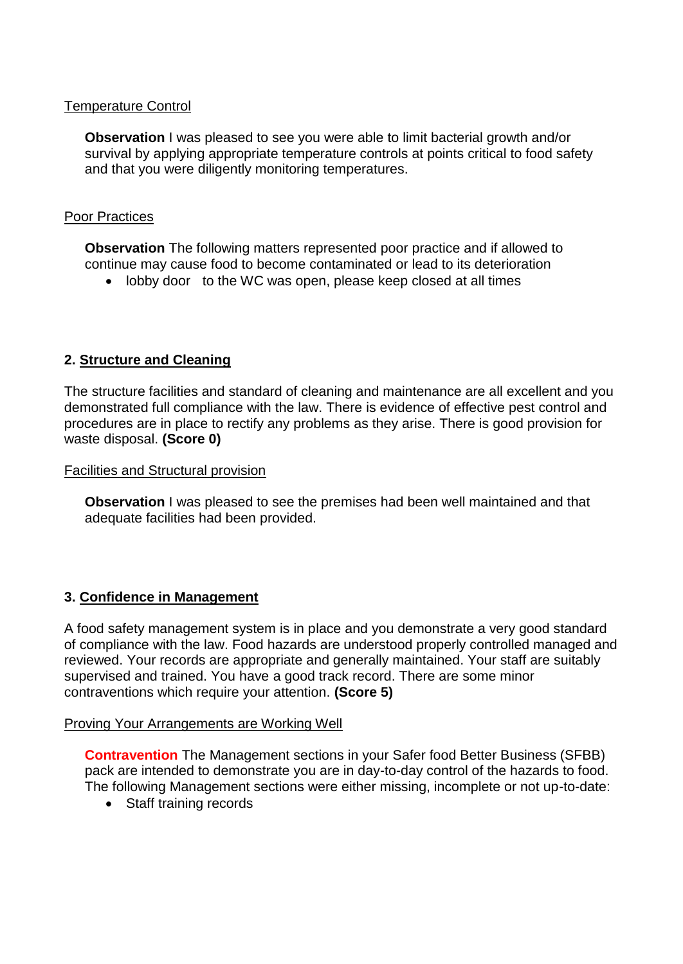## Temperature Control

**Observation** I was pleased to see you were able to limit bacterial growth and/or survival by applying appropriate temperature controls at points critical to food safety and that you were diligently monitoring temperatures.

## Poor Practices

**Observation** The following matters represented poor practice and if allowed to continue may cause food to become contaminated or lead to its deterioration

• lobby door to the WC was open, please keep closed at all times

# **2. Structure and Cleaning**

The structure facilities and standard of cleaning and maintenance are all excellent and you demonstrated full compliance with the law. There is evidence of effective pest control and procedures are in place to rectify any problems as they arise. There is good provision for waste disposal. **(Score 0)**

Facilities and Structural provision

**Observation** I was pleased to see the premises had been well maintained and that adequate facilities had been provided.

## **3. Confidence in Management**

A food safety management system is in place and you demonstrate a very good standard of compliance with the law. Food hazards are understood properly controlled managed and reviewed. Your records are appropriate and generally maintained. Your staff are suitably supervised and trained. You have a good track record. There are some minor contraventions which require your attention. **(Score 5)**

#### Proving Your Arrangements are Working Well

**Contravention** The Management sections in your Safer food Better Business (SFBB) pack are intended to demonstrate you are in day-to-day control of the hazards to food. The following Management sections were either missing, incomplete or not up-to-date:

• Staff training records